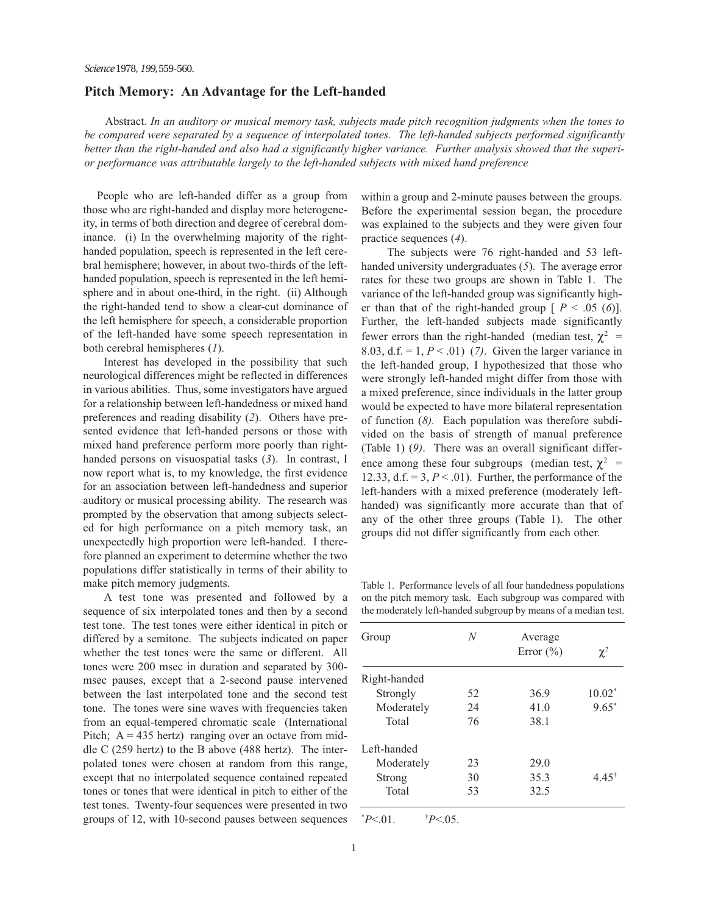## Pitch Memory: An Advantage for the Left-handed

Abstract. In an auditory or musical memory task, subjects made pitch recognition judgments when the tones to be compared were separated by a sequence of interpolated tones. The left-handed subjects performed significantly better than the right-handed and also had a significantly higher variance. Further analysis showed that the superior performance was attributable largely to the left-handed subjects with mixed hand preference

People who are left-handed differ as a group from those who are right-handed and display more heterogeneity, in terms of both direction and degree of cerebral dominance. (i) In the overwhelming majority of the righthanded population, speech is represented in the left cerebral hemisphere; however, in about two-thirds of the lefthanded population, speech is represented in the left hemisphere and in about one-third, in the right. (ii) Although the right-handed tend to show a clear-cut dominance of the left hemisphere for speech, a considerable proportion of the left-handed have some speech representation in both cerebral hemispheres (1).

Interest has developed in the possibility that such neurological differences might be reflected in differences in various abilities. Thus, some investigators have argued for a relationship between left-handedness or mixed hand preferences and reading disability (2). Others have presented evidence that left-handed persons or those with mixed hand preference perform more poorly than righthanded persons on visuospatial tasks (3). In contrast, I now report what is, to my knowledge, the first evidence for an association between left-handedness and superior auditory or musical processing ability. The research was prompted by the observation that among subjects selected for high performance on a pitch memory task, an unexpectedly high proportion were left-handed. I therefore planned an experiment to determine whether the two populations differ statistically in terms of their ability to make pitch memory judgments.

A test tone was presented and followed by a sequence of six interpolated tones and then by a second test tone. The test tones were either identical in pitch or differed by a semitone. The subjects indicated on paper whether the test tones were the same or different. All tones were 200 msec in duration and separated by 300 msec pauses, except that a 2-second pause intervened between the last interpolated tone and the second test tone. The tones were sine waves with frequencies taken from an equal-tempered chromatic scale (International Pitch;  $A = 435$  hertz) ranging over an octave from middle C (259 hertz) to the B above (488 hertz). The interpolated tones were chosen at random from this range, except that no interpolated sequence contained repeated tones or tones that were identical in pitch to either of the test tones. Twenty-four sequences were presented in two groups of 12, with 10-second pauses between sequences within a group and 2-minute pauses between the groups. Before the experimental session began, the procedure was explained to the subjects and they were given four practice sequences (4).

The subjects were 76 right-handed and 53 lefthanded university undergraduates (5). The average error rates for these two groups are shown in Table 1. The variance of the left-handed group was significantly higher than that of the right-handed group  $[P \leq .05 \ (6)]$ . Further, the left-handed subjects made significantly fewer errors than the right-handed (median test,  $\chi^2$  = 8.03, d.f. = 1,  $P < 0.01$  (7). Given the larger variance in the left-handed group, I hypothesized that those who were strongly left-handed might differ from those with a mixed preference, since individuals in the latter group would be expected to have more bilateral representation of function (8). Each population was therefore subdivided on the basis of strength of manual preference (Table 1) (9). There was an overall significant difference among these four subgroups (median test,  $\chi^2$  = 12.33, d.f. =  $3, P < .01$ ). Further, the performance of the left-handers with a mixed preference (moderately lefthanded) was significantly more accurate than that of any of the other three groups (Table 1). The other groups did not differ significantly from each other.

Table 1. Performance levels of all four handedness populations on the pitch memory task. Each subgroup was compared with the moderately left-handed subgroup by means of a median test.

| Group        | N  | Average<br>Error $(\% )$ | $\chi^2$  |
|--------------|----|--------------------------|-----------|
| Right-handed |    |                          |           |
| Strongly     | 52 | 36.9                     | $10.02^*$ |
| Moderately   | 24 | 41.0                     | $9.65*$   |
| Total        | 76 | 38.1                     |           |
| Left-handed  |    |                          |           |
| Moderately   | 23 | 29.0                     |           |
| Strong       | 30 | 35.3                     | 4.45†     |
| Total        | 53 | 32.5                     |           |

 $*P<.01.$  †  $P < 0.05$ .